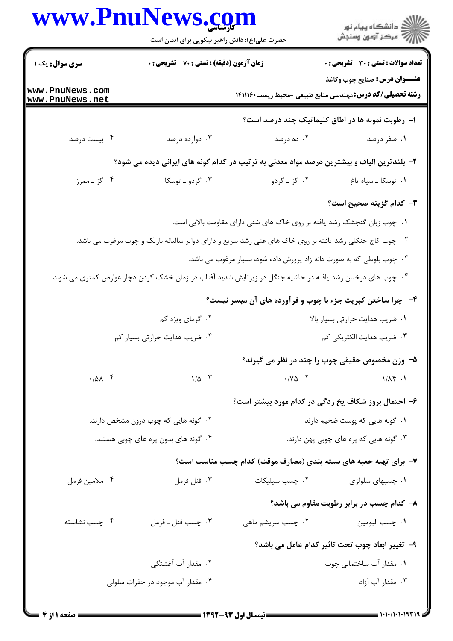| www.PnuNews.com                    | حضرت علی(ع): دانش راهبر نیکویی برای ایمان است    |                                                                                                            | گ دانشگاه پيام نور<br>//<br>//<br><b>تعداد سوالات : تستی : 30 ٪ تشریحی : 0</b> |  |
|------------------------------------|--------------------------------------------------|------------------------------------------------------------------------------------------------------------|--------------------------------------------------------------------------------|--|
| سری سوال: یک ۱                     | <b>زمان آزمون (دقیقه) : تستی : 70 گشریحی : 0</b> |                                                                                                            |                                                                                |  |
| www.PnuNews.com<br>www.PnuNews.net |                                                  | <b>رشته تحصیلی/کد درس:</b> مهندسی منابع طبیعی -محیط زیست۱۴۱۱۱۶۰                                            | <b>عنـــوان درس:</b> صنايع چوب وكاغذ                                           |  |
|                                    |                                                  | ا- رطوبت نمونه ها در اطاق کلیماتیک چند درصد است؟                                                           |                                                                                |  |
| ۰۴ بیست درصد                       | ۰۳ دوازده درصد                                   | ۰۲ ده درصد                                                                                                 | ۰۱ صفر درصد                                                                    |  |
|                                    |                                                  | ۲- بلندترین الیاف و بیشترین درصد مواد معدنی به ترتیب در کدام گونه های ایرانی دیده می شود؟                  |                                                                                |  |
| ۰۴ گز ــ ممرز                      | ۰۳ گردو ـ توسکا                                  | ۲. گز ـ گردو                                                                                               | ٠١ توسكا ـ سياه تاغ                                                            |  |
|                                    |                                                  |                                                                                                            | <b>۳</b> – کدام گزینه صحیح است؟                                                |  |
|                                    |                                                  | ۰۱ چوب زبان گنجشک رشد یافته بر روی خاک های شنی دارای مقاومت بالایی است.                                    |                                                                                |  |
|                                    |                                                  | ۲. چوب کاج جنگلی رشد یافته بر روی خاک های غنی رشد سریع و دارای دوایر سالیانه باریک و چوب مرغوب می باشد.    |                                                                                |  |
|                                    |                                                  | ۰۳ چوب بلوطی که به صورت دانه زاد پرورش داده شود، بسیار مرغوب می باشد.                                      |                                                                                |  |
|                                    |                                                  | ۰۴ چوب های درختان رشد یافته در حاشیه جنگل در زیرتابش شدید آفتاب در زمان خشک کردن دچار عوارض کمتری می شوند. |                                                                                |  |
|                                    |                                                  | ۴- چرا ساختن کبریت جزء با چوب و فرآورده های آن میسر نیست <u>؟</u>                                          |                                                                                |  |
|                                    | ۰۲ گرمای ویژه کم                                 |                                                                                                            | ٠١ ضريب هدايت حرارتي بسيار بالا                                                |  |
|                                    | ۰۴ ضریب هدایت حرارتی بسیار کم                    |                                                                                                            | ۰۳ ضریب هدایت الکتریکی کم                                                      |  |
|                                    |                                                  | ۵- وزن مخصوص حقیقی چوب را چند در نظر می گیرند؟                                                             |                                                                                |  |
| .701.7                             | $1/\Delta$ .                                     | $\cdot$ / $\vee$ $\circ$ $\cdot$ $\vee$                                                                    | $1/\Lambda f$ .                                                                |  |
|                                    |                                                  | ۶– احتمال بروز شکاف یخ زدگی در کدام مورد بیشتر است؟                                                        |                                                                                |  |
|                                    | ۰۲ گونه هایی که چوب درون مشخص دارند.             | ۰۱ گونه هایی که پوست ضخیم دارند.                                                                           |                                                                                |  |
|                                    | ۰۴ گونه های بدون پره های چوبی هستند.             |                                                                                                            | ۰۳ گونه هایی که پره های چوبی پهن دارند.                                        |  |
|                                    |                                                  | ۷- برای تهیه جعبه های بسته بندی (مصارف موقت) کدام چسب مناسب است؟                                           |                                                                                |  |
| ۰۴ ملامين فرمل                     | ۰۳ فنل فرمل                                      | ۰۲ چسب سیلیکات                                                                                             | ۰۱ چسبهای سلولزی                                                               |  |
|                                    |                                                  |                                                                                                            | ۸- کدام چسب در برابر رطوبت مقاوم می باشد؟                                      |  |
| ۰۴ چسب نشاسته                      | ۰۳ چسب فنل ـ فرمل                                | ۰۲ چسب سریشم ماهی                                                                                          | ٠١ چسب البومين                                                                 |  |
|                                    |                                                  |                                                                                                            | ۹- تغییر ابعاد چوب تحت تاثیر کدام عامل می باشد؟                                |  |
|                                    | ۰۲ مقدار آب آغشتگی                               |                                                                                                            | ۰۱ مقدار آب ساختمانی چوب                                                       |  |
| ۰۴ مقدار آب موجود در حفرات سلولی   |                                                  |                                                                                                            | ۰۳ مقدار آب آزاد                                                               |  |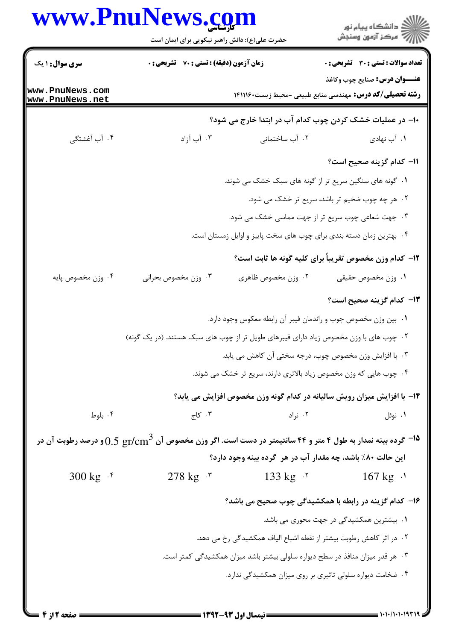|                                    | www.PnuNews.com<br>حضرت علی(ع): دانش راهبر نیکویی برای ایمان است                                                               |                                         | ِ<br>∭ دانشڪاه پيام نور<br>∭ مرڪز آزمون وسنڊش                                                           |  |
|------------------------------------|--------------------------------------------------------------------------------------------------------------------------------|-----------------------------------------|---------------------------------------------------------------------------------------------------------|--|
| <b>سری سوال : ۱ یک</b>             | زمان آزمون (دقیقه) : تستی : 70 ٪ تشریحی : 0                                                                                    |                                         | تعداد سوالات : تستي : 30 - تشريحي : 0                                                                   |  |
| www.PnuNews.com<br>www.PnuNews.net |                                                                                                                                |                                         | <b>عنـــوان درس:</b> صنايع چوب وكاغذ<br><b>رشته تحصیلی/کد درس:</b> مهندسی منابع طبیعی -محیط زیست۲۹۱۱۱۶۰ |  |
|                                    |                                                                                                                                |                                         | ∙ا− در عملیات خشک کردن چوب کدام آب در ابتدا خارج می شود؟                                                |  |
| ۰۴ آب آغشتگی                       | ۰۳ آب آزاد                                                                                                                     | ۰۲ آب ساختمانی                          | ۰۱ آب نهادی                                                                                             |  |
|                                    |                                                                                                                                |                                         | 11– كدام گزينه صحيح است؟                                                                                |  |
|                                    | ۰۱ گونه های سنگین سریع تر از گونه های سبک خشک می شوند.                                                                         |                                         |                                                                                                         |  |
|                                    | ۰۲ هر چه چوب ضخیم تر باشد، سریع تر خشک می شود.                                                                                 |                                         |                                                                                                         |  |
|                                    | ۰۳ جهت شعاعی چوب سریع تر از جهت مماسی خشک می شود.                                                                              |                                         |                                                                                                         |  |
|                                    | ۰۴ بهترین زمان دسته بندی برای چوب های سخت پاییز و اوایل زمستان است.                                                            |                                         |                                                                                                         |  |
|                                    |                                                                                                                                |                                         | <b>۱۲</b> - کدام وزن مخصوص تقریباً برای کلیه گونه ها ثابت است؟                                          |  |
| ۰۴ وزن مخصوص پايه                  | ۰۳ وزن مخصوص بحراني                                                                                                            | ۰۲ وزن مخصوص ظاهري                      | ٠١ وزن مخصوص حقيقى                                                                                      |  |
|                                    |                                                                                                                                |                                         | 1 <b>۳</b> - کدام گزینه صحیح است؟                                                                       |  |
|                                    |                                                                                                                                |                                         | ٠١ بين وزن مخصوص چوب و راندمان فيبر آن رابطه معكوس وجود دارد.                                           |  |
|                                    | ۰۲ چوب های با وزن مخصوص زیاد دارای فیبرهای طویل تر از چوب های سبک هستند. (در یک گونه)                                          |                                         |                                                                                                         |  |
|                                    | ۰۳ با افزایش وزن مخصوص چوب، درجه سختی آن کاهش می یابد.                                                                         |                                         |                                                                                                         |  |
|                                    | ۰۴ چوب هایی که وزن مخصوص زیاد بالاتری دارند، سریع تر خشک می شوند.                                                              |                                         |                                                                                                         |  |
|                                    |                                                                                                                                |                                         | ۱۴- با افزایش میزان رویش سالیانه در کدام گونه وزن مخصوص افزایش می یابد؟                                 |  |
| ۰۴ بلوط                            | ۰۳ کاج                                                                                                                         | ۰۲ نراد                                 | ۰۱ نوئل                                                                                                 |  |
|                                    | <sup>14 -</sup> گرده بینه نمدار به طول ۴ متر و ۴۴ سانتیمتر در دست است. اگر وزن مخصوص آن $0.5~{\rm gr/cm^3}$ و درصد رطوبت آن در |                                         |                                                                                                         |  |
|                                    |                                                                                                                                |                                         | این حالت ۸۰٪ باشد، چه مقدار آب در هر گرده بینه وجود دارد؟                                               |  |
| 300 kg $\cdot$ $\frac{1}{2}$       |                                                                                                                                | $278 \text{ kg}$ . T $133 \text{ kg}$ . | $167 \text{ kg}$ .                                                                                      |  |
|                                    |                                                                                                                                |                                         | ۱۶– کدام گزینه در رابطه با همکشیدگی چوب صحیح می باشد؟                                                   |  |
|                                    |                                                                                                                                |                                         | ۰۱ بیشترین همکشیدگی در جهت محوری می باشد.                                                               |  |
|                                    | ۰۲ در اثر کاهش رطوبت بیشتر از نقطه اشباع الیاف همکشیدگی رخ می دهد.                                                             |                                         |                                                                                                         |  |
|                                    |                                                                                                                                |                                         | ۰۳ هر قدر میزان منافذ در سطح دیواره سلولی بیشتر باشد میزان همکشیدگی کمتر است.                           |  |
|                                    |                                                                                                                                |                                         | ۰۴ ضخامت دیواره سلولی تاثیری بر روی میزان همکشیدگی ندارد.                                               |  |

 $1 - 1 - 1 - 1 - 197$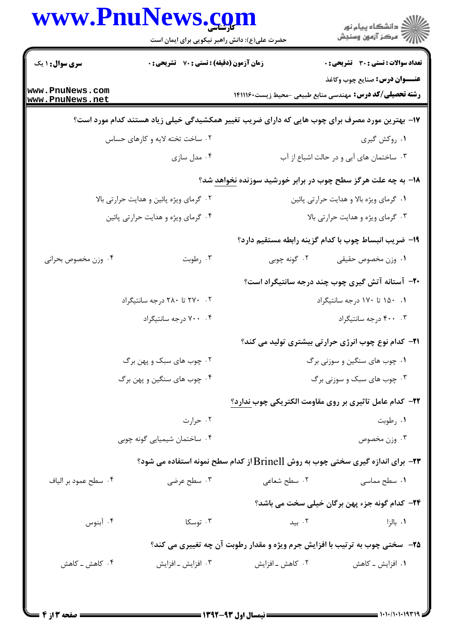|                                                        | حضرت علی(ع): دانش راهبر نیکویی برای ایمان است                                                  |                                         | ڪ دانشڪاه پيا <sub>م</sub> نور<br>ر <i>7</i> مرڪز آزمون وسنڊش                                           |
|--------------------------------------------------------|------------------------------------------------------------------------------------------------|-----------------------------------------|---------------------------------------------------------------------------------------------------------|
| <b>سری سوال : ۱ یک</b>                                 | زمان آزمون (دقیقه) : تستی : 70 گشریحی : 0                                                      |                                         | <b>تعداد سوالات : تستی : 30 ٪ تشریحی : 0</b>                                                            |
| www.PnuNews.com<br>www.PnuNews.net                     |                                                                                                |                                         | <b>عنـــوان درس:</b> صنایع چوب وکاغذ<br><b>رشته تحصیلی/کد درس:</b> مهندسی منابع طبیعی -محیط زیست۲۹۱۱۱۶۰ |
|                                                        | ۱۷- بهترین مورد مصرف برای چوب هایی که دارای ضریب تغییر همکشیدگی خیلی زیاد هستند کدام مورد است؟ |                                         |                                                                                                         |
|                                                        | ۰۲ ساخت تخته لایه و کارهای حساس                                                                |                                         | ۰۱ روکش گیری                                                                                            |
|                                                        | ۰۴ مدل سازی                                                                                    |                                         | ۰۳ ساختمان های آبی و در حالت اشباع از آب                                                                |
|                                                        |                                                                                                |                                         | ۱۸- به چه علت هرگز سطح چوب در برابر خورشید سوزنده نخواهد شد؟                                            |
| ۰۲ گرمای ویژه پائین و هدایت حرارتی بالا                |                                                                                                | ٠١ گرماي ويژه بالا و هدايت حرارتي پائين |                                                                                                         |
| ۰۴ گرمای ویژه و هدایت حرارتی پائین                     |                                                                                                | ۰۳ گرمای ویژه و هدایت حرارتی بالا       |                                                                                                         |
|                                                        |                                                                                                |                                         | ۱۹- ضریب انبساط چوب با کدام گزینه رابطه مستقیم دارد؟                                                    |
| ۰۴ وزن مخصوص بحراني                                    | ۰۳ رطوبت                                                                                       |                                         | ۰۱ وزن مخصوص حقیقی مسلم ۲۰ گونه چوبی                                                                    |
|                                                        |                                                                                                |                                         | <b>۰۲-</b> آستانه آتش گیری چوب چند درجه سانتیگراد است؟                                                  |
| ۰۲ . ۲۷۰ تا ۲۸۰ درجه سانتیگراد                         |                                                                                                |                                         | ۰۱ ۱۵۰ تا ۱۷۰ درجه سانتیگراد                                                                            |
|                                                        | ۰۴ . ۷۰۰ درجه سانتيگراد                                                                        |                                         | ۰۳ ۴۰۰ درجه سانتيگراد                                                                                   |
|                                                        |                                                                                                |                                         | <b>۲۱</b> – کدام نوع چوب انرژی حرارتی بیشتری تولید می کند؟                                              |
| ۰۲ چوب های سبک و پهن برگ<br>۰۴ چوب های سنگین و پهن برگ |                                                                                                | ۰۱ چوب های سنگین و سوزنی برگ            |                                                                                                         |
|                                                        |                                                                                                | ۰۳ چوب های سبک و سوزنی برگ              |                                                                                                         |
|                                                        |                                                                                                |                                         | <b>۲۲- کدام عامل تاثیری بر روی مقاومت الکتریکی چوب ندارد؟</b>                                           |
|                                                        | ۰۲ حرارت                                                                                       |                                         | ۰۱ رطوبت                                                                                                |
|                                                        | ۰۴ ساختمان شیمیایی گونه چوبی                                                                   |                                         | ۰۳ وزن مخصوص                                                                                            |
|                                                        | <b>۲۳</b> - برای اندازه گیری سختی چوب به روش Brinell از کدام سطح نمونه استفاده می شود؟         |                                         |                                                                                                         |
| ۰۴ سطح عمود بر الياف                                   | ۰۳ سطح عرضی                                                                                    | ۰۲ سطح شعاع <sub>ی</sub>                | ۰۱ سطح مماسی                                                                                            |
|                                                        |                                                                                                |                                         | <b>34- کدام گونه جزء پهن برگان خیلی سخت می باشد؟</b>                                                    |
| ۰۴ آبنوس                                               | ۰۳ توسکا                                                                                       | ۰۲ بید                                  | ۰۱ بالزا                                                                                                |
|                                                        |                                                                                                |                                         | ۲۵- سختی چوب به ترتیب با افزایش جرم ویژه و مقدار رطوبت آن چه تغییری می کند؟                             |
| ۰۴ کاهش ــ کاهش                                        | ۰۳ افزایش ـ افزایش                                                                             | ۰۲ کاهش ـ افزايش                        | ۰۱ افزایش ــ کاهش                                                                                       |

 $= 1.1.11.111111$